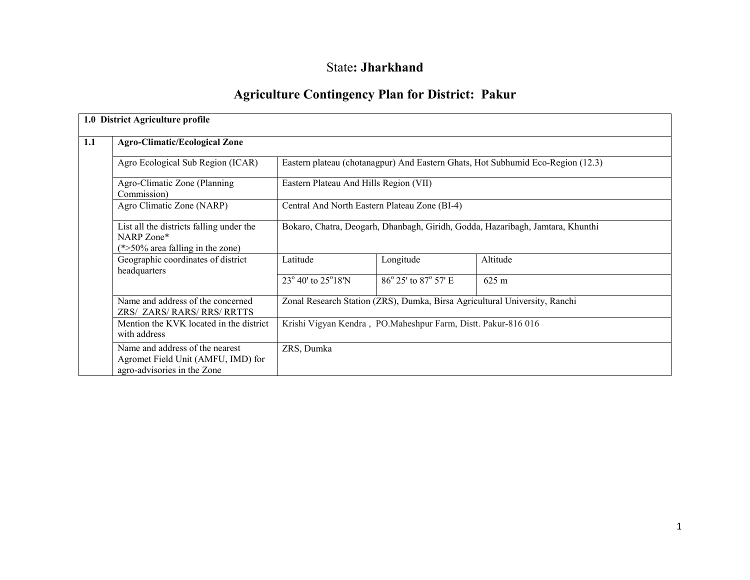# State: Jharkhand

# Agriculture Contingency Plan for District: Pakur

|     | 1.0 District Agriculture profile                                                                     |                                                               |                                               |                                                                                 |  |  |  |
|-----|------------------------------------------------------------------------------------------------------|---------------------------------------------------------------|-----------------------------------------------|---------------------------------------------------------------------------------|--|--|--|
| 1.1 | <b>Agro-Climatic/Ecological Zone</b>                                                                 |                                                               |                                               |                                                                                 |  |  |  |
|     | Agro Ecological Sub Region (ICAR)                                                                    |                                                               |                                               | Eastern plateau (chotanagpur) And Eastern Ghats, Hot Subhumid Eco-Region (12.3) |  |  |  |
|     | Agro-Climatic Zone (Planning)<br>Commission)                                                         | Eastern Plateau And Hills Region (VII)                        |                                               |                                                                                 |  |  |  |
|     | Agro Climatic Zone (NARP)                                                                            |                                                               | Central And North Eastern Plateau Zone (BI-4) |                                                                                 |  |  |  |
|     | List all the districts falling under the<br>NARP Zone*<br>$(*>50\%$ area falling in the zone)        |                                                               |                                               | Bokaro, Chatra, Deogarh, Dhanbagh, Giridh, Godda, Hazaribagh, Jamtara, Khunthi  |  |  |  |
|     | Geographic coordinates of district<br>headquarters                                                   | Latitude                                                      | Longitude                                     | Altitude                                                                        |  |  |  |
|     |                                                                                                      | 23° 40' to 25°18'N                                            | 86° 25' to 87° 57' E                          | $625 \text{ m}$                                                                 |  |  |  |
|     | Name and address of the concerned<br>ZRS/ ZARS/ RARS/ RRS/ RRTTS                                     |                                                               |                                               | Zonal Research Station (ZRS), Dumka, Birsa Agricultural University, Ranchi      |  |  |  |
|     | Mention the KVK located in the district<br>with address                                              | Krishi Vigyan Kendra, PO.Maheshpur Farm, Distt. Pakur-816 016 |                                               |                                                                                 |  |  |  |
|     | Name and address of the nearest<br>Agromet Field Unit (AMFU, IMD) for<br>agro-advisories in the Zone | ZRS, Dumka                                                    |                                               |                                                                                 |  |  |  |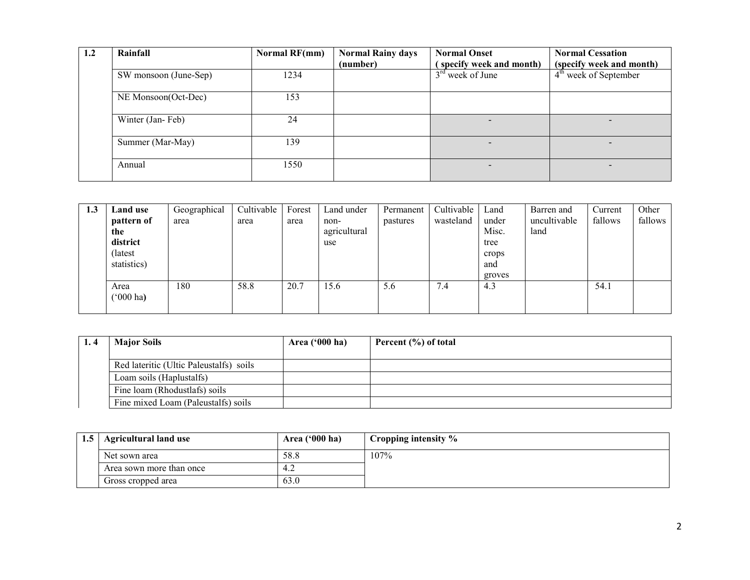| 1.2 | Rainfall              | Normal RF(mm) | <b>Normal Rainy days</b> | <b>Normal Onset</b>     | <b>Normal Cessation</b>  |
|-----|-----------------------|---------------|--------------------------|-------------------------|--------------------------|
|     |                       |               | (number)                 | specify week and month) | (specify week and month) |
|     | SW monsoon (June-Sep) | 1234          |                          | $3rd$ week of June      | $4th$ week of September  |
|     | NE Monsoon(Oct-Dec)   | 153           |                          |                         |                          |
|     | Winter (Jan-Feb)      | 24            |                          |                         | $\overline{\phantom{0}}$ |
|     | Summer (Mar-May)      | 139           |                          |                         |                          |
|     | Annual                | 1550          |                          |                         | $\overline{\phantom{0}}$ |

| 1.3 | Land use                   | Geographical | Cultivable | Forest | Land under   | Permanent | Cultivable | Land   | Barren and   | Current | Other   |
|-----|----------------------------|--------------|------------|--------|--------------|-----------|------------|--------|--------------|---------|---------|
|     | pattern of                 | area         | area       | area   | non-         | pastures  | wasteland  | under  | uncultivable | fallows | fallows |
|     | the                        |              |            |        | agricultural |           |            | Misc.  | land         |         |         |
|     | district                   |              |            |        | use          |           |            | tree   |              |         |         |
|     | (latest                    |              |            |        |              |           |            | crops  |              |         |         |
|     | statistics)                |              |            |        |              |           |            | and    |              |         |         |
|     |                            |              |            |        |              |           |            | groves |              |         |         |
|     | Area<br>$(000 \text{ ha})$ | 180          | 58.8       | 20.7   | 15.6         | 5.6       | 7.4        | 4.3    |              | 54.1    |         |
|     |                            |              |            |        |              |           |            |        |              |         |         |

| <b>Major Soils</b>                      | Area ('000 ha) | Percent (%) of total |
|-----------------------------------------|----------------|----------------------|
|                                         |                |                      |
| Red lateritic (Ultic Paleustalfs) soils |                |                      |
| Loam soils (Haplustalfs)                |                |                      |
| Fine loam (Rhodustlafs) soils           |                |                      |
| Fine mixed Loam (Paleustalfs) soils     |                |                      |

| 1.5                      | Agricultural land use | Area $('000 ha)$ | Cropping intensity % |
|--------------------------|-----------------------|------------------|----------------------|
|                          | Net sown area         | 58.8             | 107%                 |
| Area sown more than once |                       | $-4.4$           |                      |
|                          | Gross cropped area    | 63.0             |                      |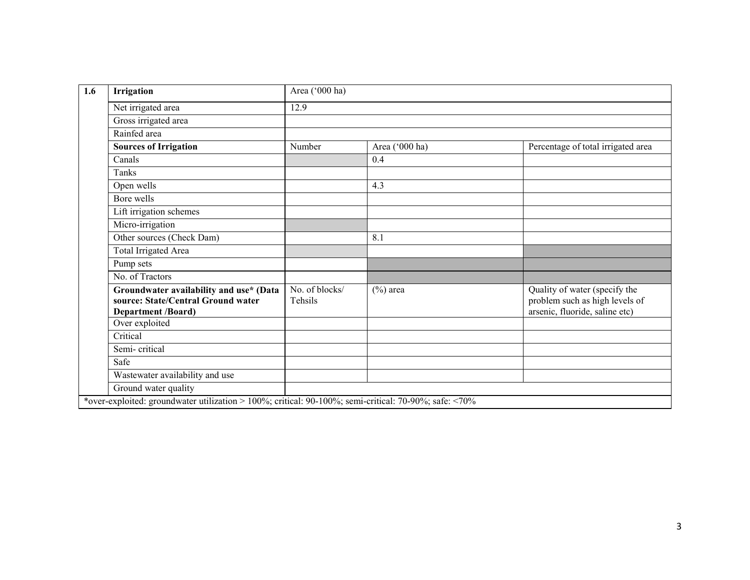| Irrigation                                                                                                 | Area ('000 ha)            |                |                                                                                                   |  |  |  |
|------------------------------------------------------------------------------------------------------------|---------------------------|----------------|---------------------------------------------------------------------------------------------------|--|--|--|
| Net irrigated area                                                                                         | 12.9                      |                |                                                                                                   |  |  |  |
| Gross irrigated area                                                                                       |                           |                |                                                                                                   |  |  |  |
| Rainfed area                                                                                               |                           |                |                                                                                                   |  |  |  |
| <b>Sources of Irrigation</b>                                                                               | Number                    | Area ('000 ha) | Percentage of total irrigated area                                                                |  |  |  |
| Canals                                                                                                     |                           | 0.4            |                                                                                                   |  |  |  |
| Tanks                                                                                                      |                           |                |                                                                                                   |  |  |  |
| Open wells                                                                                                 |                           | 4.3            |                                                                                                   |  |  |  |
| Bore wells                                                                                                 |                           |                |                                                                                                   |  |  |  |
| Lift irrigation schemes                                                                                    |                           |                |                                                                                                   |  |  |  |
| Micro-irrigation                                                                                           |                           |                |                                                                                                   |  |  |  |
| Other sources (Check Dam)                                                                                  |                           | 8.1            |                                                                                                   |  |  |  |
| Total Irrigated Area                                                                                       |                           |                |                                                                                                   |  |  |  |
| Pump sets                                                                                                  |                           |                |                                                                                                   |  |  |  |
| No. of Tractors                                                                                            |                           |                |                                                                                                   |  |  |  |
| Groundwater availability and use* (Data<br>source: State/Central Ground water<br><b>Department /Board)</b> | No. of blocks/<br>Tehsils | $(\%)$ area    | Quality of water (specify the<br>problem such as high levels of<br>arsenic, fluoride, saline etc) |  |  |  |
| Over exploited                                                                                             |                           |                |                                                                                                   |  |  |  |
| Critical                                                                                                   |                           |                |                                                                                                   |  |  |  |
| Semi-critical                                                                                              |                           |                |                                                                                                   |  |  |  |
| Safe                                                                                                       |                           |                |                                                                                                   |  |  |  |
| Wastewater availability and use                                                                            |                           |                |                                                                                                   |  |  |  |
| Ground water quality                                                                                       |                           |                |                                                                                                   |  |  |  |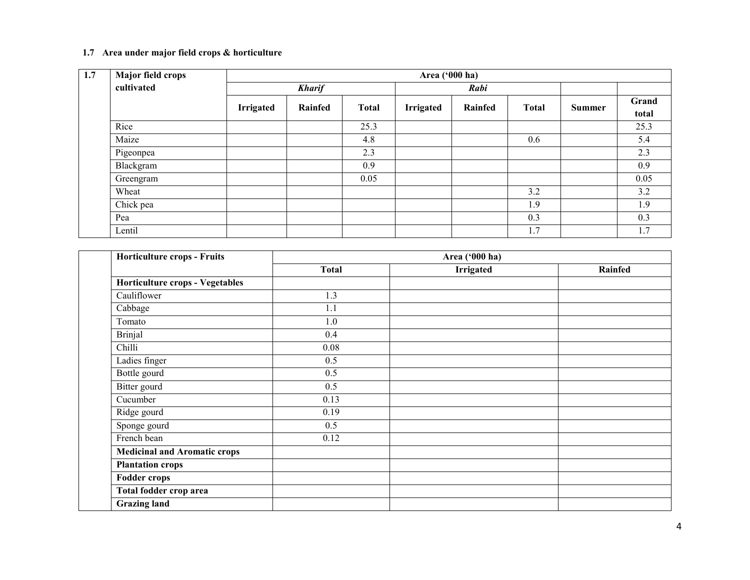# 1.7 Area under major field crops & horticulture

| 1.7 | <b>Major field crops</b> |               |         |              | Area ('000 ha)   |         |              |        |                |
|-----|--------------------------|---------------|---------|--------------|------------------|---------|--------------|--------|----------------|
|     | cultivated               | <b>Kharif</b> |         |              |                  | Rabi    |              |        |                |
|     |                          | Irrigated     | Rainfed | <b>Total</b> | <b>Irrigated</b> | Rainfed | <b>Total</b> | Summer | Grand<br>total |
|     | Rice                     |               |         | 25.3         |                  |         |              |        | 25.3           |
|     | Maize                    |               |         | 4.8          |                  |         | 0.6          |        | 5.4            |
|     | Pigeonpea                |               |         | 2.3          |                  |         |              |        | 2.3            |
|     | Blackgram                |               |         | 0.9          |                  |         |              |        | 0.9            |
|     | Greengram                |               |         | 0.05         |                  |         |              |        | 0.05           |
|     | Wheat                    |               |         |              |                  |         | 3.2          |        | 3.2            |
|     | Chick pea                |               |         |              |                  |         | 1.9          |        | 1.9            |
|     | Pea                      |               |         |              |                  |         | 0.3          |        | 0.3            |
|     | Lentil                   |               |         |              |                  |         | 1.7          |        | 1.7            |

| Horticulture crops - Fruits         |              | Area ('000 ha)   |         |
|-------------------------------------|--------------|------------------|---------|
|                                     | <b>Total</b> | <b>Irrigated</b> | Rainfed |
| Horticulture crops - Vegetables     |              |                  |         |
| Cauliflower                         | 1.3          |                  |         |
| Cabbage                             | 1.1          |                  |         |
| Tomato                              | 1.0          |                  |         |
| <b>Brinjal</b>                      | 0.4          |                  |         |
| Chilli                              | 0.08         |                  |         |
| Ladies finger                       | 0.5          |                  |         |
| Bottle gourd                        | 0.5          |                  |         |
| Bitter gourd                        | 0.5          |                  |         |
| Cucumber                            | 0.13         |                  |         |
| Ridge gourd                         | 0.19         |                  |         |
| Sponge gourd                        | 0.5          |                  |         |
| French bean                         | 0.12         |                  |         |
| <b>Medicinal and Aromatic crops</b> |              |                  |         |
| <b>Plantation crops</b>             |              |                  |         |
| <b>Fodder crops</b>                 |              |                  |         |
| Total fodder crop area              |              |                  |         |
| <b>Grazing land</b>                 |              |                  |         |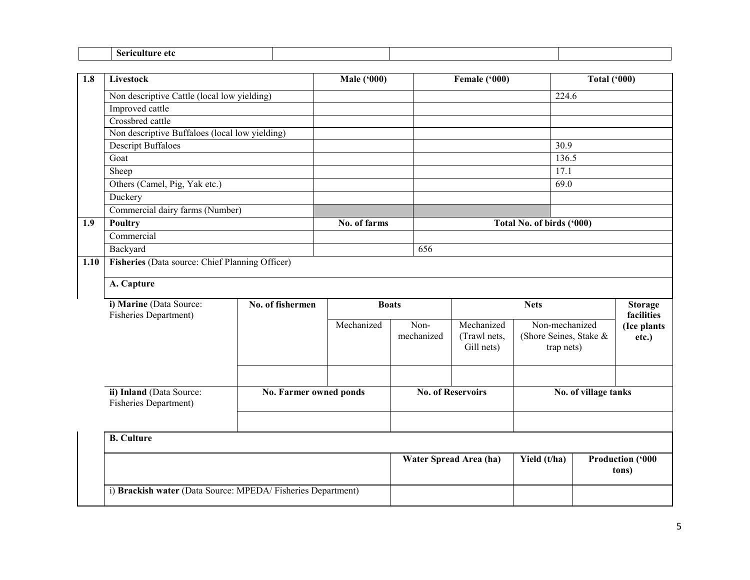| 1.8  | Livestock                                                   |                        | <b>Male ('000)</b> |            | Female ('000)          |                           | <b>Total ('000)</b>          |                                  |  |  |
|------|-------------------------------------------------------------|------------------------|--------------------|------------|------------------------|---------------------------|------------------------------|----------------------------------|--|--|
|      | Non descriptive Cattle (local low yielding)                 |                        |                    |            |                        | 224.6                     |                              |                                  |  |  |
|      | Improved cattle                                             |                        |                    |            |                        |                           |                              |                                  |  |  |
|      | Crossbred cattle                                            |                        |                    |            |                        |                           |                              |                                  |  |  |
|      | Non descriptive Buffaloes (local low yielding)              |                        |                    |            |                        |                           |                              |                                  |  |  |
|      | <b>Descript Buffaloes</b>                                   |                        |                    |            |                        | 30.9                      |                              |                                  |  |  |
|      | Goat                                                        |                        |                    |            |                        | 136.5                     |                              |                                  |  |  |
|      | Sheep                                                       |                        |                    |            |                        | 17.1                      |                              |                                  |  |  |
|      | Others (Camel, Pig, Yak etc.)                               |                        |                    |            |                        | 69.0                      |                              |                                  |  |  |
|      | Duckery                                                     |                        |                    |            |                        |                           |                              |                                  |  |  |
|      | Commercial dairy farms (Number)                             |                        |                    |            |                        |                           |                              |                                  |  |  |
| 1.9  | Poultry                                                     |                        | No. of farms       |            |                        | Total No. of birds ('000) |                              |                                  |  |  |
|      | Commercial                                                  |                        |                    |            |                        |                           |                              |                                  |  |  |
|      | Backyard                                                    |                        |                    | 656        |                        |                           |                              |                                  |  |  |
| 1.10 | Fisheries (Data source: Chief Planning Officer)             |                        |                    |            |                        |                           |                              |                                  |  |  |
|      | A. Capture                                                  |                        |                    |            |                        |                           |                              |                                  |  |  |
|      | i) Marine (Data Source:<br>Fisheries Department)            | No. of fishermen       | <b>Boats</b>       |            | <b>Nets</b>            |                           | <b>Storage</b><br>facilities |                                  |  |  |
|      |                                                             |                        | Mechanized         | Non-       | Mechanized             | Non-mechanized            |                              | (Ice plants                      |  |  |
|      |                                                             |                        |                    | mechanized | (Trawl nets,           | (Shore Seines, Stake &    |                              | etc.)                            |  |  |
|      |                                                             |                        |                    |            | Gill nets)             | trap nets)                |                              |                                  |  |  |
|      |                                                             |                        |                    |            |                        |                           |                              |                                  |  |  |
|      |                                                             |                        |                    |            |                        |                           |                              |                                  |  |  |
|      | ii) Inland (Data Source:<br>Fisheries Department)           | No. Farmer owned ponds |                    |            | No. of Reservoirs      |                           | No. of village tanks         |                                  |  |  |
|      |                                                             |                        |                    |            |                        |                           |                              |                                  |  |  |
|      | <b>B.</b> Culture                                           |                        |                    |            |                        |                           |                              |                                  |  |  |
|      |                                                             |                        |                    |            |                        |                           |                              |                                  |  |  |
|      |                                                             |                        |                    |            | Water Spread Area (ha) | Yield (t/ha)              |                              | <b>Production ('000</b><br>tons) |  |  |
|      | i) Brackish water (Data Source: MPEDA/Fisheries Department) |                        |                    |            |                        |                           |                              |                                  |  |  |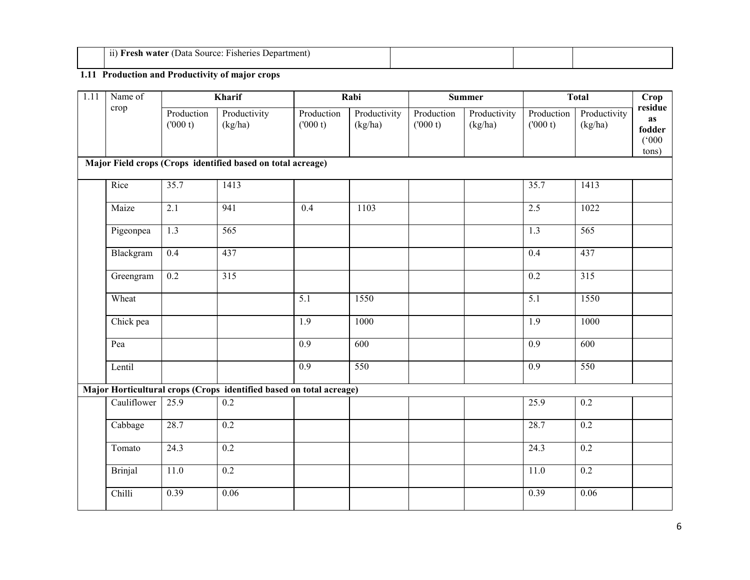| --<br>$\mathbf{11}$<br>Fisheries<br><b>Penartment</b> .<br>-Fresh water<br>Source:<br>Data<br>,,, |  |  |
|---------------------------------------------------------------------------------------------------|--|--|
|                                                                                                   |  |  |

## 1.11 Production and Productivity of major crops

| $\overline{1.11}$ | Name of        |                       | Kharif                                                              |                       | Rabi                    |                       | <b>Summer</b>           |                       | <b>Total</b>            | Crop                                             |
|-------------------|----------------|-----------------------|---------------------------------------------------------------------|-----------------------|-------------------------|-----------------------|-------------------------|-----------------------|-------------------------|--------------------------------------------------|
|                   | crop           | Production<br>(000 t) | Productivity<br>(kg/ha)                                             | Production<br>(000 t) | Productivity<br>(kg/ha) | Production<br>(000 t) | Productivity<br>(kg/ha) | Production<br>(000 t) | Productivity<br>(kg/ha) | residue<br><b>as</b><br>fodder<br>(000)<br>tons) |
|                   |                |                       | Major Field crops (Crops identified based on total acreage)         |                       |                         |                       |                         |                       |                         |                                                  |
|                   | Rice           | 35.7                  | 1413                                                                |                       |                         |                       |                         | 35.7                  | 1413                    |                                                  |
|                   | Maize          | 2.1                   | 941                                                                 | $\overline{0.4}$      | 1103                    |                       |                         | 2.5                   | 1022                    |                                                  |
|                   | Pigeonpea      | 1.3                   | $\overline{565}$                                                    |                       |                         |                       |                         | 1.3                   | $\overline{565}$        |                                                  |
|                   | Blackgram      | 0.4                   | 437                                                                 |                       |                         |                       |                         | 0.4                   | 437                     |                                                  |
|                   | Greengram      | $\overline{0.2}$      | $\overline{315}$                                                    |                       |                         |                       |                         | 0.2                   | $\overline{315}$        |                                                  |
|                   | Wheat          |                       |                                                                     | 5.1                   | 1550                    |                       |                         | $\overline{5.1}$      | 1550                    |                                                  |
|                   | Chick pea      |                       |                                                                     | $\overline{1.9}$      | 1000                    |                       |                         | $\overline{1.9}$      | 1000                    |                                                  |
|                   | Pea            |                       |                                                                     | $\overline{0.9}$      | $\overline{600}$        |                       |                         | $\overline{0.9}$      | 600                     |                                                  |
|                   | Lentil         |                       |                                                                     | 0.9                   | 550                     |                       |                         | $\overline{0.9}$      | 550                     |                                                  |
|                   |                |                       | Major Horticultural crops (Crops identified based on total acreage) |                       |                         |                       |                         |                       |                         |                                                  |
|                   | Cauliflower    | 25.9                  | 0.2                                                                 |                       |                         |                       |                         | 25.9                  | 0.2                     |                                                  |
|                   | Cabbage        | 28.7                  | $\overline{0.2}$                                                    |                       |                         |                       |                         | 28.7                  | 0.2                     |                                                  |
|                   | Tomato         | 24.3                  | $\overline{0.2}$                                                    |                       |                         |                       |                         | 24.3                  | 0.2                     |                                                  |
|                   | <b>Brinjal</b> | 11.0                  | 0.2                                                                 |                       |                         |                       |                         | 11.0                  | $\overline{0.2}$        |                                                  |
|                   | Chilli         | 0.39                  | 0.06                                                                |                       |                         |                       |                         | 0.39                  | 0.06                    |                                                  |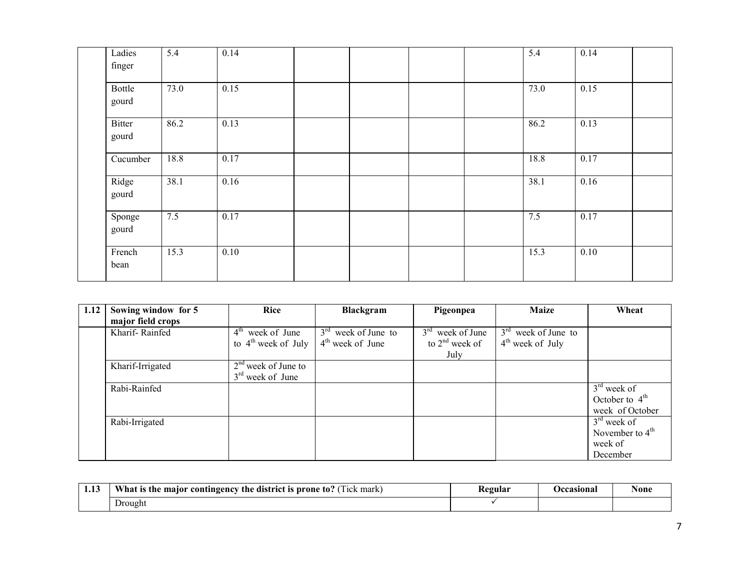| Ladies<br>finger | 5.4  | 0.14 |  |  | 5.4  | 0.14 |  |
|------------------|------|------|--|--|------|------|--|
| Bottle<br>gourd  | 73.0 | 0.15 |  |  | 73.0 | 0.15 |  |
| Bitter<br>gourd  | 86.2 | 0.13 |  |  | 86.2 | 0.13 |  |
| Cucumber         | 18.8 | 0.17 |  |  | 18.8 | 0.17 |  |
| Ridge<br>gourd   | 38.1 | 0.16 |  |  | 38.1 | 0.16 |  |
| Sponge<br>gourd  | 7.5  | 0.17 |  |  | 7.5  | 0.17 |  |
| French<br>bean   | 15.3 | 0.10 |  |  | 15.3 | 0.10 |  |

| 1.12 | Sowing window for 5 | <b>Rice</b>           | Blackgram             | Pigeonpea          | <b>Maize</b>          | Wheat             |
|------|---------------------|-----------------------|-----------------------|--------------------|-----------------------|-------------------|
|      | major field crops   |                       |                       |                    |                       |                   |
|      | Kharif-Rainfed      | $4th$ week of June    | $3rd$ week of June to | $3rd$ week of June | $3rd$ week of June to |                   |
|      |                     | to $4th$ week of July | $4th$ week of June    | to $2nd$ week of   | $4th$ week of July    |                   |
|      |                     |                       |                       | July               |                       |                   |
|      | Kharif-Irrigated    | $2nd$ week of June to |                       |                    |                       |                   |
|      |                     | $3rd$ week of June    |                       |                    |                       |                   |
|      | Rabi-Rainfed        |                       |                       |                    |                       | $3rd$ week of     |
|      |                     |                       |                       |                    |                       | October to $4th$  |
|      |                     |                       |                       |                    |                       | week of October   |
|      | Rabi-Irrigated      |                       |                       |                    |                       | $3rd$ week of     |
|      |                     |                       |                       |                    |                       | November to $4th$ |
|      |                     |                       |                       |                    |                       | week of           |
|      |                     |                       |                       |                    |                       | December          |

| $\rightarrow$<br>1.LJ | What is the<br>Tick mark)<br>maior<br>$\imath$ the district is prone $\bar{\imath}$<br>to:<br>' contingency | Kegular | Occasiona. | None |
|-----------------------|-------------------------------------------------------------------------------------------------------------|---------|------------|------|
|                       | Ð<br>Drought                                                                                                |         |            |      |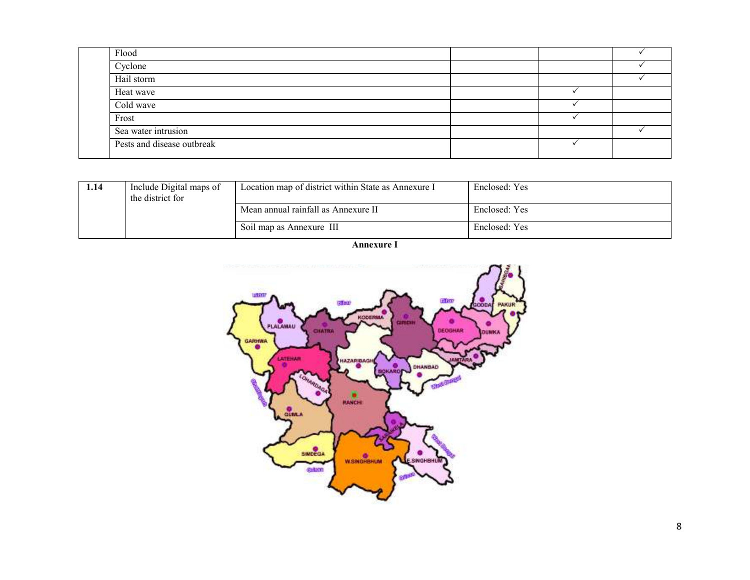| Flood                      |  |  |
|----------------------------|--|--|
| Cyclone                    |  |  |
| Hail storm                 |  |  |
| Heat wave                  |  |  |
| Cold wave                  |  |  |
| Frost                      |  |  |
| Sea water intrusion        |  |  |
| Pests and disease outbreak |  |  |

| l.14 | Include Digital maps of<br>the district for | Location map of district within State as Annexure I | Enclosed: Yes |
|------|---------------------------------------------|-----------------------------------------------------|---------------|
|      |                                             | Mean annual rainfall as Annexure II                 | Enclosed: Yes |
|      |                                             | Soil map as Annexure III                            | Enclosed: Yes |

Annexure I

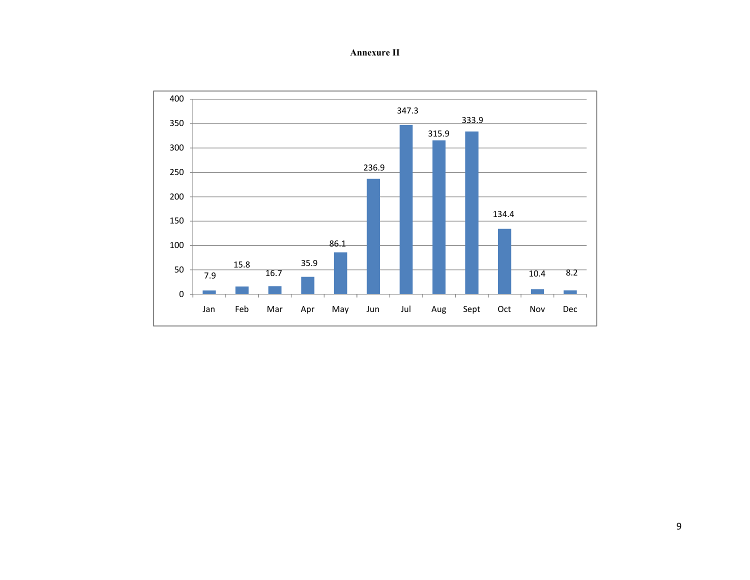Annexure II

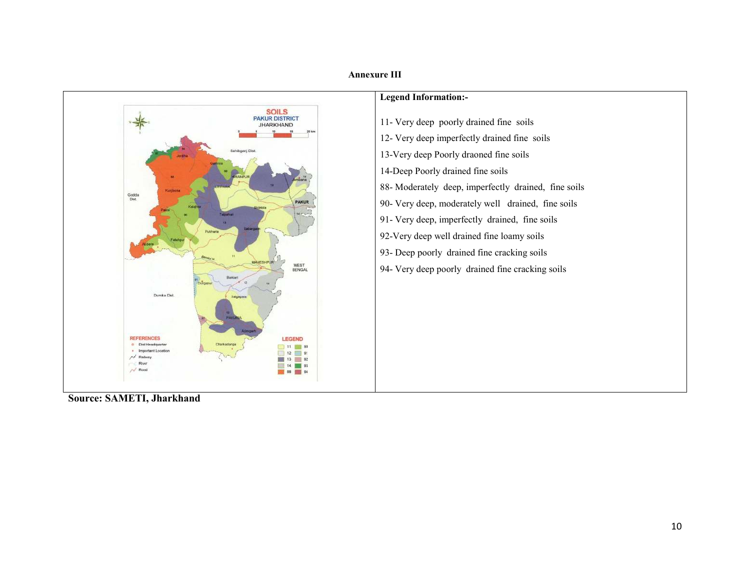

# Source: SAMETI, Jharkhand

### Annexure III

## Legend Information:-

- 11- Very deep poorly drained fine soils 12- Very deep imperfectly drained fine soils 13-Very deep Poorly draoned fine soils 14-Deep Poorly drained fine soils 88- Moderately deep, imperfectly drained, fine soils 90- Very deep, moderately well drained, fine soils 91- Very deep, imperfectly drained, fine soils 92-Very deep well drained fine loamy soils
- 93- Deep poorly drained fine cracking soils
- 94- Very deep poorly drained fine cracking soils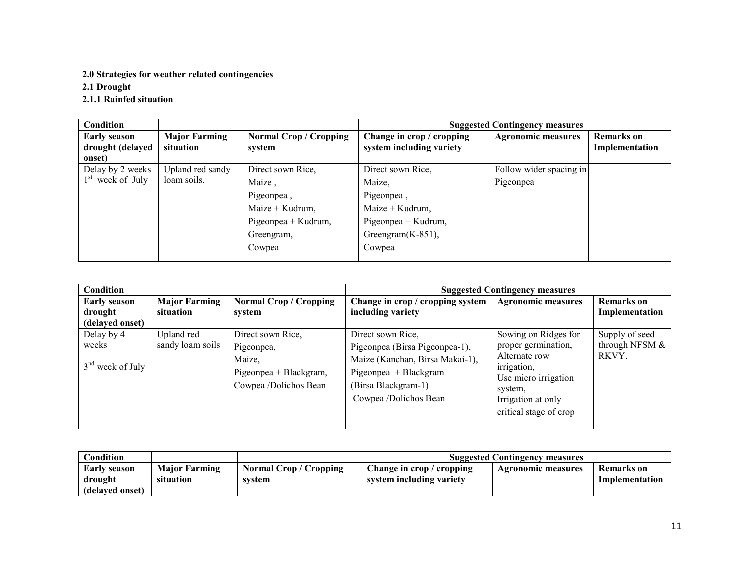# 2.0 Strategies for weather related contingencies

2.1 Drought

2.1.1 Rainfed situation

| Condition                               |                                   |                                         |                                                       | <b>Suggested Contingency measures</b> |                                     |
|-----------------------------------------|-----------------------------------|-----------------------------------------|-------------------------------------------------------|---------------------------------------|-------------------------------------|
| <b>Early season</b><br>drought (delayed | <b>Major Farming</b><br>situation | <b>Normal Crop / Cropping</b><br>system | Change in crop / cropping<br>system including variety | <b>Agronomic measures</b>             | <b>Remarks</b> on<br>Implementation |
| onset)                                  |                                   |                                         |                                                       |                                       |                                     |
| Delay by 2 weeks                        | Upland red sandy                  | Direct sown Rice.                       | Direct sown Rice,                                     | Follow wider spacing in               |                                     |
| $1st$ week of July                      | loam soils.                       | Maize,                                  | Maize,                                                | Pigeonpea                             |                                     |
|                                         |                                   | Pigeonpea,                              | Pigeonpea,                                            |                                       |                                     |
|                                         |                                   | Maize + Kudrum,                         | Maize + Kudrum,                                       |                                       |                                     |
|                                         |                                   | Pigeonpea + Kudrum,                     | Pigeonpea + Kudrum,                                   |                                       |                                     |
|                                         |                                   | Greengram,                              | Greengram $(K-851)$ ,                                 |                                       |                                     |
|                                         |                                   | Cowpea                                  | Cowpea                                                |                                       |                                     |
|                                         |                                   |                                         |                                                       |                                       |                                     |

| Condition                                         |                                   |                                                                                              |                                                                                                                                                                 | <b>Suggested Contingency measures</b>                                                                                                                          |                                           |
|---------------------------------------------------|-----------------------------------|----------------------------------------------------------------------------------------------|-----------------------------------------------------------------------------------------------------------------------------------------------------------------|----------------------------------------------------------------------------------------------------------------------------------------------------------------|-------------------------------------------|
| <b>Early season</b><br>drought<br>(delayed onset) | <b>Major Farming</b><br>situation | <b>Normal Crop / Cropping</b><br>system                                                      | Change in crop / cropping system<br>including variety                                                                                                           | <b>Agronomic measures</b>                                                                                                                                      | <b>Remarks</b> on<br>Implementation       |
| Delay by 4<br>weeks<br>$3nd$ week of July         | Upland red<br>sandy loam soils    | Direct sown Rice,<br>Pigeonpea,<br>Maize,<br>Pigeonpea + Blackgram,<br>Cowpea /Dolichos Bean | Direct sown Rice,<br>Pigeonpea (Birsa Pigeonpea-1),<br>Maize (Kanchan, Birsa Makai-1),<br>Pigeonpea + Blackgram<br>(Birsa Blackgram-1)<br>Cowpea /Dolichos Bean | Sowing on Ridges for<br>proper germination,<br>Alternate row<br>irrigation,<br>Use micro irrigation<br>system,<br>Irrigation at only<br>critical stage of crop | Supply of seed<br>through NFSM &<br>RKVY. |

| <b>Condition</b>        |                                   |                                         | <b>Suggested Contingency measures</b>                 |                    |                              |
|-------------------------|-----------------------------------|-----------------------------------------|-------------------------------------------------------|--------------------|------------------------------|
| Early season<br>drought | <b>Major Farming</b><br>situation | <b>Normal Crop / Cropping</b><br>system | Change in crop / cropping<br>system including variety | Agronomic measures | Remarks on<br>Implementation |
| (delayed onset)         |                                   |                                         |                                                       |                    |                              |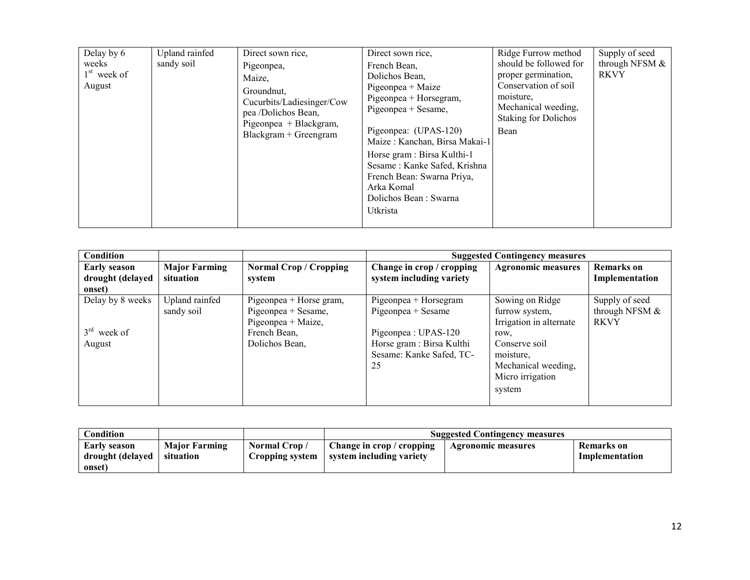| Delay by 6<br>weeks<br>$1st$ week of<br>August | Upland rainfed<br>sandy soil | Direct sown rice,<br>Pigeonpea,<br>Maize,<br>Groundnut.<br>Cucurbits/Ladiesinger/Cow<br>pea /Dolichos Bean,<br>Pigeonpea + Blackgram,<br>$Blackgram + Greengram$ | Direct sown rice,<br>French Bean,<br>Dolichos Bean,<br>Pigeonpea + Maize<br>Pigeonpea + Horsegram,<br>Pigeonpea + Sesame,<br>Pigeonpea: (UPAS-120)<br>Maize: Kanchan, Birsa Makai-1<br>Horse gram : Birsa Kulthi-1<br>Sesame: Kanke Safed, Krishna<br>French Bean: Swarna Priya,<br>Arka Komal<br>Dolichos Bean : Swarna<br>Utkrista | Ridge Furrow method<br>should be followed for<br>proper germination,<br>Conservation of soil<br>moisture.<br>Mechanical weeding,<br><b>Staking for Dolichos</b><br>Bean | Supply of seed<br>through NFSM $&$<br><b>RKVY</b> |
|------------------------------------------------|------------------------------|------------------------------------------------------------------------------------------------------------------------------------------------------------------|--------------------------------------------------------------------------------------------------------------------------------------------------------------------------------------------------------------------------------------------------------------------------------------------------------------------------------------|-------------------------------------------------------------------------------------------------------------------------------------------------------------------------|---------------------------------------------------|
|------------------------------------------------|------------------------------|------------------------------------------------------------------------------------------------------------------------------------------------------------------|--------------------------------------------------------------------------------------------------------------------------------------------------------------------------------------------------------------------------------------------------------------------------------------------------------------------------------------|-------------------------------------------------------------------------------------------------------------------------------------------------------------------------|---------------------------------------------------|

| Condition           |                      |                               |                           | <b>Suggested Contingency measures</b> |                   |
|---------------------|----------------------|-------------------------------|---------------------------|---------------------------------------|-------------------|
| <b>Early season</b> | <b>Major Farming</b> | <b>Normal Crop / Cropping</b> | Change in crop / cropping | <b>Agronomic measures</b>             | <b>Remarks</b> on |
| drought (delayed    | situation            | system                        | system including variety  |                                       | Implementation    |
| onset)              |                      |                               |                           |                                       |                   |
| Delay by 8 weeks    | Upland rainfed       | Pigeonpea + Horse gram,       | Pigeonpea + Horsegram     | Sowing on Ridge                       | Supply of seed    |
|                     | sandy soil           | Pigeonpea + Sesame,           | Pigeonpea + Sesame        | furrow system,                        | through NFSM $&$  |
|                     |                      | Pigeonpea + Maize,            |                           | Irrigation in alternate               | <b>RKVY</b>       |
| $3rd$ week of       |                      | French Bean,                  | Pigeonpea : UPAS-120      | row,                                  |                   |
| August              |                      | Dolichos Bean,                | Horse gram : Birsa Kulthi | Conserve soil                         |                   |
|                     |                      |                               | Sesame: Kanke Safed, TC-  | moisture.                             |                   |
|                     |                      |                               | 25                        | Mechanical weeding,                   |                   |
|                     |                      |                               |                           | Micro irrigation                      |                   |
|                     |                      |                               |                           | system                                |                   |
|                     |                      |                               |                           |                                       |                   |

| Condition        |                      |                 | <b>Suggested Contingency measures</b> |                    |                |  |
|------------------|----------------------|-----------------|---------------------------------------|--------------------|----------------|--|
| Early season     | <b>Major Farming</b> | Normal Crop/    | $\Box$ Change in crop / cropping      | Agronomic measures | Remarks on     |  |
| drought (delayed | situation            | Cropping system | system including variety              |                    | Implementation |  |
| onset)           |                      |                 |                                       |                    |                |  |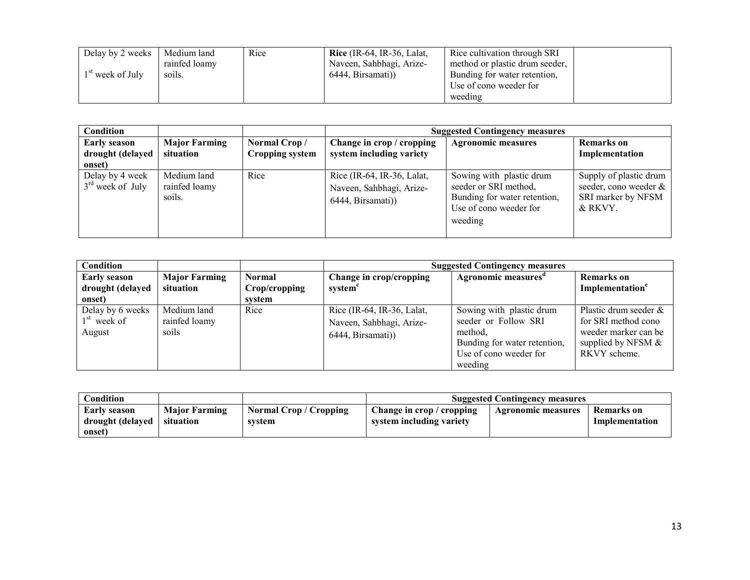| Delay by 2 weeks   | Medium land   | Rice | Rice $(IR-64, IR-36, Lalat,$ | Rice cultivation through SRI   |
|--------------------|---------------|------|------------------------------|--------------------------------|
|                    | rainfed loamy |      | Naveen, Sahbhagi, Arize-     | method or plastic drum seeder, |
| $1st$ week of July | soils.        |      | 6444, Birsamati)             | Bunding for water retention,   |
|                    |               |      |                              | Use of cono weeder for         |
|                    |               |      |                              | weeding                        |

| Condition                                         |                                        |                                 | <b>Suggested Contingency measures</b>                                       |                                                                                                                        |                                                                                  |  |
|---------------------------------------------------|----------------------------------------|---------------------------------|-----------------------------------------------------------------------------|------------------------------------------------------------------------------------------------------------------------|----------------------------------------------------------------------------------|--|
| <b>Early season</b><br>drought (delayed<br>onset) | <b>Major Farming</b><br>situation      | Normal Crop/<br>Cropping system | Change in crop / cropping<br>system including variety                       | <b>Agronomic measures</b>                                                                                              | <b>Remarks</b> on<br>Implementation                                              |  |
| Delay by 4 week<br>$3rd$ week of July             | Medium land<br>rainfed loamy<br>soils. | Rice                            | Rice (IR-64, IR-36, Lalat,<br>Naveen, Sahbhagi, Arize-<br>6444, Birsamati)) | Sowing with plastic drum<br>seeder or SRI method,<br>Bunding for water retention,<br>Use of cono weeder for<br>weeding | Supply of plastic drum<br>seeder, cono weeder &<br>SRI marker by NFSM<br>& RKVY. |  |

| Condition                                   |                                       |               | <b>Suggested Contingency measures</b>                                       |                                                                                                                                  |                                                                                                               |  |
|---------------------------------------------|---------------------------------------|---------------|-----------------------------------------------------------------------------|----------------------------------------------------------------------------------------------------------------------------------|---------------------------------------------------------------------------------------------------------------|--|
| <b>Early season</b>                         | <b>Major Farming</b>                  | <b>Normal</b> | Change in crop/cropping                                                     | Agronomic measures <sup>a</sup>                                                                                                  | <b>Remarks</b> on                                                                                             |  |
| drought (delayed                            | situation                             | Crop/cropping | system <sup>c</sup>                                                         |                                                                                                                                  | Implementation <sup>e</sup>                                                                                   |  |
| onset)                                      |                                       | system        |                                                                             |                                                                                                                                  |                                                                                                               |  |
| Delay by 6 weeks<br>$1st$ week of<br>August | Medium land<br>rainfed loamy<br>soils | Rice          | Rice (IR-64, IR-36, Lalat,<br>Naveen, Sahbhagi, Arize-<br>6444, Birsamati)) | Sowing with plastic drum<br>seeder or Follow SRI<br>method.<br>Bunding for water retention,<br>Use of cono weeder for<br>weeding | Plastic drum seeder &<br>for SRI method cono<br>weeder marker can be<br>supplied by NFSM $\&$<br>RKVY scheme. |  |

| Condition                                  |                                   |                                       | <b>Suggested Contingency measures</b>                 |                    |                              |  |
|--------------------------------------------|-----------------------------------|---------------------------------------|-------------------------------------------------------|--------------------|------------------------------|--|
| Early season<br>drought (delayed<br>onset) | <b>Major Farming</b><br>situation | <b>Normal Crop/Cropping</b><br>system | Change in crop / cropping<br>system including variety | Agronomic measures | Remarks on<br>Implementation |  |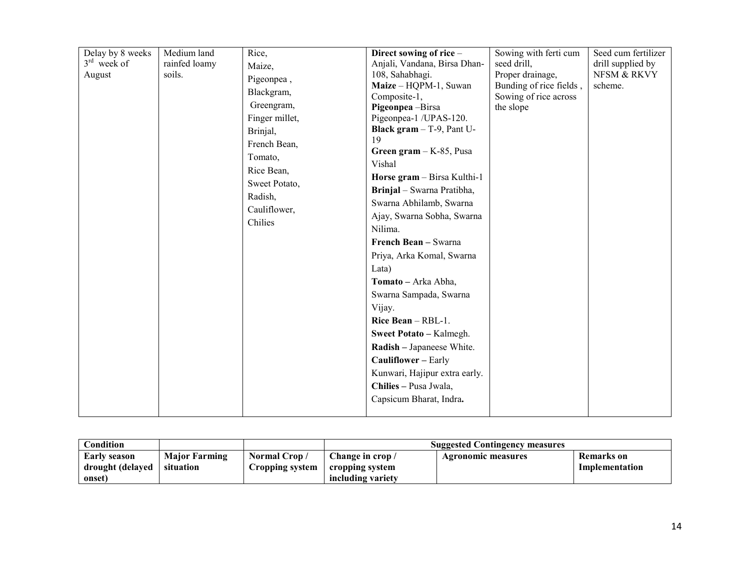| Delay by 8 weeks<br>$3rd$ week of<br>August | Medium land<br>rainfed loamy<br>soils. | Rice,<br>Maize,<br>Pigeonpea,<br>Blackgram,<br>Greengram,<br>Finger millet,<br>Brinjal,<br>French Bean,<br>Tomato,<br>Rice Bean,<br>Sweet Potato,<br>Radish,<br>Cauliflower,<br>Chilies | Direct sowing of rice -<br>Anjali, Vandana, Birsa Dhan-<br>108, Sahabhagi.<br>Maize - HQPM-1, Suwan<br>Composite-1,<br>Pigeonpea-Birsa<br>Pigeonpea-1 /UPAS-120.<br>Black gram - T-9, Pant U-<br>19<br>Green gram $-K-85$ , Pusa<br>Vishal<br>Horse gram - Birsa Kulthi-1<br>Brinjal - Swarna Pratibha,<br>Swarna Abhilamb, Swarna<br>Ajay, Swarna Sobha, Swarna<br>Nilima.<br>French Bean - Swarna<br>Priya, Arka Komal, Swarna<br>Lata)<br>Tomato - Arka Abha,<br>Swarna Sampada, Swarna<br>Vijay.<br>Rice Bean - RBL-1.<br>Sweet Potato - Kalmegh.<br>Radish - Japaneese White.<br>Cauliflower - Early | Sowing with ferti cum<br>seed drill,<br>Proper drainage,<br>Bunding of rice fields,<br>Sowing of rice across<br>the slope | Seed cum fertilizer<br>drill supplied by<br>NFSM & RKVY<br>scheme. |
|---------------------------------------------|----------------------------------------|-----------------------------------------------------------------------------------------------------------------------------------------------------------------------------------------|-----------------------------------------------------------------------------------------------------------------------------------------------------------------------------------------------------------------------------------------------------------------------------------------------------------------------------------------------------------------------------------------------------------------------------------------------------------------------------------------------------------------------------------------------------------------------------------------------------------|---------------------------------------------------------------------------------------------------------------------------|--------------------------------------------------------------------|
|                                             |                                        |                                                                                                                                                                                         | Kunwari, Hajipur extra early.<br>Chilies - Pusa Jwala,<br>Capsicum Bharat, Indra.                                                                                                                                                                                                                                                                                                                                                                                                                                                                                                                         |                                                                                                                           |                                                                    |

| <b>Condition</b> |                      |                 |                   | <b>Suggested Contingency measures</b> |                |
|------------------|----------------------|-----------------|-------------------|---------------------------------------|----------------|
| Early season     | <b>Major Farming</b> | Normal Crop/    | Change in crop /  | Agronomic measures                    | Remarks on     |
| drought (delayed | situation            | Cropping system | cropping system   |                                       | Implementation |
| onset)           |                      |                 | including variety |                                       |                |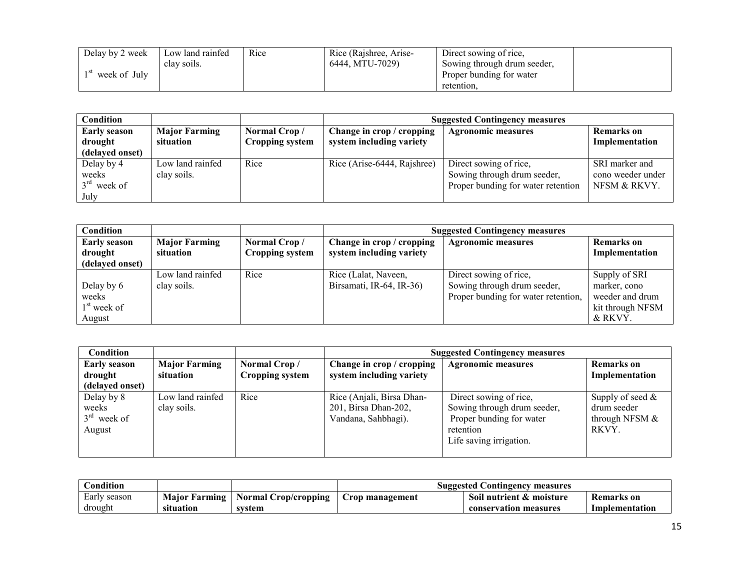| Delay by 2 week | Low land rainfed | Rice | Rice (Rajshree, Arise- | Direct sowing of rice,      |  |
|-----------------|------------------|------|------------------------|-----------------------------|--|
|                 | clay soils.      |      | 6444. MTU-7029)        | Sowing through drum seeder, |  |
| week of July    |                  |      |                        | Proper bunding for water    |  |
|                 |                  |      |                        | retention,                  |  |

| <b>Condition</b>                                  |                                   |                                        | <b>Suggested Contingency measures</b>                 |                                    |                              |  |  |
|---------------------------------------------------|-----------------------------------|----------------------------------------|-------------------------------------------------------|------------------------------------|------------------------------|--|--|
| <b>Early season</b><br>drought<br>(delayed onset) | <b>Major Farming</b><br>situation | Normal Crop/<br><b>Cropping system</b> | Change in crop / cropping<br>system including variety | <b>Agronomic measures</b>          | Remarks on<br>Implementation |  |  |
|                                                   |                                   |                                        |                                                       |                                    |                              |  |  |
| Delay by 4                                        | Low land rainfed                  | Rice                                   | Rice (Arise-6444, Rajshree)                           | Direct sowing of rice,             | SRI marker and               |  |  |
| weeks                                             | clay soils.                       |                                        |                                                       | Sowing through drum seeder,        | cono weeder under            |  |  |
| $3rd$ week of                                     |                                   |                                        |                                                       | Proper bunding for water retention | NFSM & RKVY.                 |  |  |
| July                                              |                                   |                                        |                                                       |                                    |                              |  |  |

| Condition                                         |                                   |                                 | <b>Suggested Contingency measures</b>                 |                                                                                              |                                                                                 |  |  |  |
|---------------------------------------------------|-----------------------------------|---------------------------------|-------------------------------------------------------|----------------------------------------------------------------------------------------------|---------------------------------------------------------------------------------|--|--|--|
| <b>Early season</b><br>drought<br>(delayed onset) | <b>Major Farming</b><br>situation | Normal Crop/<br>Cropping system | Change in crop / cropping<br>system including variety | <b>Agronomic measures</b>                                                                    | <b>Remarks</b> on<br>Implementation                                             |  |  |  |
| Delay by 6<br>weeks<br>$1st$ week of<br>August    | Low land rainfed<br>clay soils.   | Rice                            | Rice (Lalat, Naveen,<br>Birsamati, IR-64, IR-36)      | Direct sowing of rice,<br>Sowing through drum seeder,<br>Proper bunding for water retention, | Supply of SRI<br>marker, cono<br>weeder and drum<br>kit through NFSM<br>& RKVY. |  |  |  |

| <b>Condition</b>                                  |                                   |                                 | <b>Suggested Contingency measures</b>                                    |                                                                                                                           |                                                                 |  |
|---------------------------------------------------|-----------------------------------|---------------------------------|--------------------------------------------------------------------------|---------------------------------------------------------------------------------------------------------------------------|-----------------------------------------------------------------|--|
| <b>Early season</b><br>drought<br>(delayed onset) | <b>Major Farming</b><br>situation | Normal Crop/<br>Cropping system | Change in crop / cropping<br>system including variety                    | <b>Agronomic measures</b>                                                                                                 | <b>Remarks</b> on<br>Implementation                             |  |
| Delay by 8<br>weeks<br>$3rd$ week of<br>August    | Low land rainfed<br>clay soils.   | Rice                            | Rice (Anjali, Birsa Dhan-<br>201, Birsa Dhan-202,<br>Vandana, Sahbhagi). | Direct sowing of rice,<br>Sowing through drum seeder,<br>Proper bunding for water<br>retention<br>Life saving irrigation. | Supply of seed $\&$<br>drum seeder<br>through NFSM $&$<br>RKVY. |  |

| Condition    |                      |                      | <b>Suggested Contingency measures</b> |                          |                |  |  |
|--------------|----------------------|----------------------|---------------------------------------|--------------------------|----------------|--|--|
| Early season | <b>Maior Farming</b> | Normal Crop/cropping | Crop management                       | Soil nutrient & moisture | Remarks on     |  |  |
| drought      | situation            | svstem               |                                       | conservation measures    | Implementation |  |  |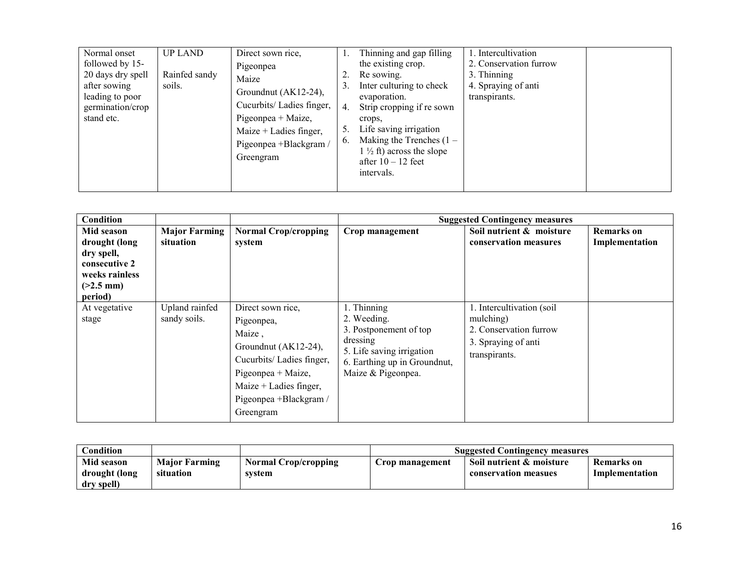| Normal onset<br>followed by 15-<br>20 days dry spell<br>after sowing<br>leading to poor<br>germination/crop<br>stand etc. | <b>UP LAND</b><br>Rainfed sandy<br>soils. | Direct sown rice,<br>Pigeonpea<br>Maize<br>Groundnut (AK12-24),<br>Cucurbits/Ladies finger,<br>Pigeonpea + Maize,<br>Maize $+$ Ladies finger,<br>Pigeonpea +Blackgram /<br>Greengram | 2<br>-4.<br>6. | Thinning and gap filling<br>the existing crop.<br>Re sowing.<br>Inter culturing to check<br>evaporation.<br>Strip cropping if re sown<br>crops.<br>Life saving irrigation<br>Making the Trenches $(1 -$<br>$1\frac{1}{2}$ ft) across the slope<br>after $10 - 12$ feet<br>intervals. | 1. Intercultivation<br>2. Conservation furrow<br>3. Thinning<br>4. Spraying of anti<br>transpirants. |  |
|---------------------------------------------------------------------------------------------------------------------------|-------------------------------------------|--------------------------------------------------------------------------------------------------------------------------------------------------------------------------------------|----------------|--------------------------------------------------------------------------------------------------------------------------------------------------------------------------------------------------------------------------------------------------------------------------------------|------------------------------------------------------------------------------------------------------|--|
|---------------------------------------------------------------------------------------------------------------------------|-------------------------------------------|--------------------------------------------------------------------------------------------------------------------------------------------------------------------------------------|----------------|--------------------------------------------------------------------------------------------------------------------------------------------------------------------------------------------------------------------------------------------------------------------------------------|------------------------------------------------------------------------------------------------------|--|

| Condition                                                                                              |                                   |                                                                                                                                                                                        |                                                                                                                                                     | <b>Suggested Contingency measures</b>                                                                    |                                     |
|--------------------------------------------------------------------------------------------------------|-----------------------------------|----------------------------------------------------------------------------------------------------------------------------------------------------------------------------------------|-----------------------------------------------------------------------------------------------------------------------------------------------------|----------------------------------------------------------------------------------------------------------|-------------------------------------|
| Mid season<br>drought (long<br>dry spell,<br>consecutive 2<br>weeks rainless<br>$(>2.5$ mm)<br>period) | <b>Major Farming</b><br>situation | <b>Normal Crop/cropping</b><br>system                                                                                                                                                  | Crop management                                                                                                                                     | Soil nutrient & moisture<br>conservation measures                                                        | <b>Remarks</b> on<br>Implementation |
| At vegetative<br>stage                                                                                 | Upland rainfed<br>sandy soils.    | Direct sown rice,<br>Pigeonpea,<br>Maize,<br>Groundnut (AK12-24),<br>Cucurbits/Ladies finger,<br>Pigeonpea + Maize,<br>Maize $+$ Ladies finger,<br>Pigeonpea +Blackgram /<br>Greengram | 1. Thinning<br>2. Weeding.<br>3. Postponement of top<br>dressing<br>5. Life saving irrigation<br>6. Earthing up in Groundnut,<br>Maize & Pigeonpea. | 1. Intercultivation (soil<br>mulching)<br>2. Conservation furrow<br>3. Spraying of anti<br>transpirants. |                                     |

| Condition                                 |                                   |                                | <b>Suggested Contingency measures</b> |                                                  |                              |  |
|-------------------------------------------|-----------------------------------|--------------------------------|---------------------------------------|--------------------------------------------------|------------------------------|--|
| Mid season<br>drought (long<br>dry spell) | <b>Major Farming</b><br>situation | Normal Crop/cropping<br>system | Crop management                       | Soil nutrient & moisture<br>conservation measues | Remarks on<br>Implementation |  |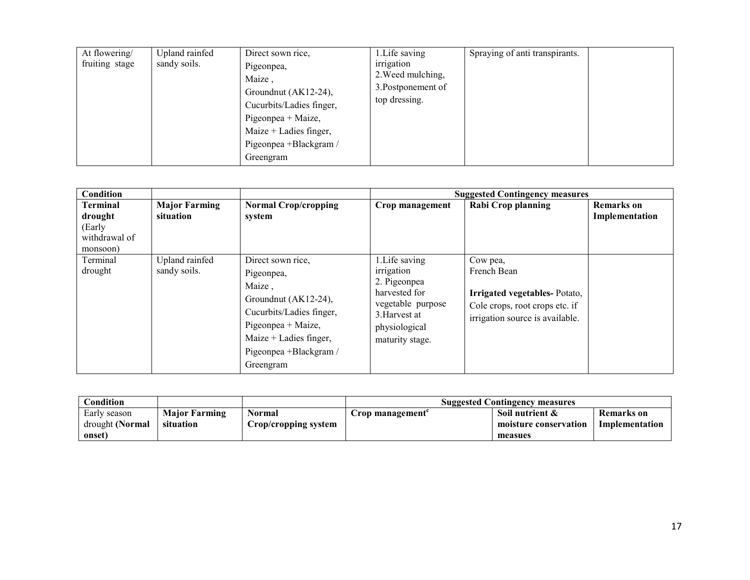| At flowering/<br>fruiting stage | Upland rainfed<br>sandy soils. | Direct sown rice.<br>Pigeonpea,<br>Maize,<br>Groundnut (AK12-24),<br>Cucurbits/Ladies finger,<br>Pigeonpea + Maize,<br>Maize + Ladies finger,<br>Pigeonpea +Blackgram /<br>Greengram | 1. Life saving<br>irrigation<br>2. Weed mulching,<br>3. Postponement of<br>top dressing. | Spraying of anti transpirants. |  |
|---------------------------------|--------------------------------|--------------------------------------------------------------------------------------------------------------------------------------------------------------------------------------|------------------------------------------------------------------------------------------|--------------------------------|--|
|---------------------------------|--------------------------------|--------------------------------------------------------------------------------------------------------------------------------------------------------------------------------------|------------------------------------------------------------------------------------------|--------------------------------|--|

| Condition                                                         |                                   |                                                                                                                                                                                        | <b>Suggested Contingency measures</b>                                                                                                   |                                                                                                                              |                                     |  |  |
|-------------------------------------------------------------------|-----------------------------------|----------------------------------------------------------------------------------------------------------------------------------------------------------------------------------------|-----------------------------------------------------------------------------------------------------------------------------------------|------------------------------------------------------------------------------------------------------------------------------|-------------------------------------|--|--|
| <b>Terminal</b><br>drought<br>(Early<br>withdrawal of<br>monsoon) | <b>Major Farming</b><br>situation | <b>Normal Crop/cropping</b><br>system                                                                                                                                                  | Crop management                                                                                                                         | Rabi Crop planning                                                                                                           | <b>Remarks</b> on<br>Implementation |  |  |
| Terminal<br>drought                                               | Upland rainfed<br>sandy soils.    | Direct sown rice,<br>Pigeonpea,<br>Maize,<br>Groundnut (AK12-24),<br>Cucurbits/Ladies finger,<br>Pigeonpea + Maize,<br>Maize $+$ Ladies finger,<br>Pigeonpea +Blackgram /<br>Greengram | 1. Life saving<br>irrigation<br>2. Pigeonpea<br>harvested for<br>vegetable purpose<br>3. Harvest at<br>physiological<br>maturity stage. | Cow pea,<br>French Bean<br>Irrigated vegetables-Potato,<br>Cole crops, root crops etc. if<br>irrigation source is available. |                                     |  |  |

| $\complement$ ondition |                      |                      | <b>Suggested Contingency measures</b> |                       |                |  |
|------------------------|----------------------|----------------------|---------------------------------------|-----------------------|----------------|--|
| Early season           | <b>Major Farming</b> | Normal               | Crop management                       | Soil nutrient &       | Remarks on     |  |
| drought (Normal        | situation            | Crop/cropping system |                                       | moisture conservation | Implementation |  |
| onset)                 |                      |                      |                                       | measues               |                |  |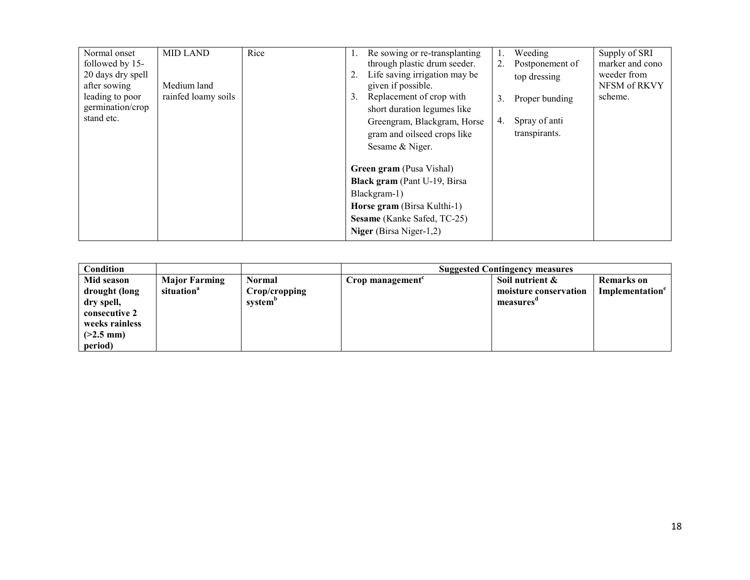| Normal onset<br>followed by 15-<br>20 days dry spell | <b>MID LAND</b>     | Rice | Re sowing or re-transplanting<br>through plastic drum seeder.<br>Life saving irrigation may be |    | Weeding<br>Postponement of<br>top dressing | Supply of SRI<br>marker and cono<br>weeder from |
|------------------------------------------------------|---------------------|------|------------------------------------------------------------------------------------------------|----|--------------------------------------------|-------------------------------------------------|
| after sowing                                         | Medium land         |      | given if possible.                                                                             |    |                                            | NFSM of RKVY                                    |
| leading to poor<br>germination/crop                  | rainfed loamy soils |      | Replacement of crop with<br>3.<br>short duration legumes like                                  | 3. | Proper bunding                             | scheme.                                         |
| stand etc.                                           |                     |      | Greengram, Blackgram, Horse<br>gram and oilseed crops like<br>Sesame & Niger.                  | 4. | Spray of anti<br>transpirants.             |                                                 |
|                                                      |                     |      | <b>Green gram</b> (Pusa Vishal)                                                                |    |                                            |                                                 |
|                                                      |                     |      | <b>Black gram</b> (Pant U-19, Birsa                                                            |    |                                            |                                                 |
|                                                      |                     |      | Blackgram-1)                                                                                   |    |                                            |                                                 |
|                                                      |                     |      | Horse gram (Birsa Kulthi-1)                                                                    |    |                                            |                                                 |
|                                                      |                     |      | Sesame (Kanke Safed, TC-25)                                                                    |    |                                            |                                                 |
|                                                      |                     |      | Niger (Birsa Niger-1,2)                                                                        |    |                                            |                                                 |

| Condition          |                        |               | <b>Suggested Contingency measures</b> |                       |                             |  |
|--------------------|------------------------|---------------|---------------------------------------|-----------------------|-----------------------------|--|
| Mid season         | <b>Major Farming</b>   | <b>Normal</b> | Crop management $\epsilon$            | Soil nutrient &       | <b>Remarks</b> on           |  |
| drought (long      | situation <sup>a</sup> | Crop/cropping |                                       | moisture conservation | Implementation <sup>e</sup> |  |
| dry spell,         |                        | system"       |                                       | measures              |                             |  |
| consecutive 2      |                        |               |                                       |                       |                             |  |
| weeks rainless     |                        |               |                                       |                       |                             |  |
| $(2.5 \text{ mm})$ |                        |               |                                       |                       |                             |  |
| period)            |                        |               |                                       |                       |                             |  |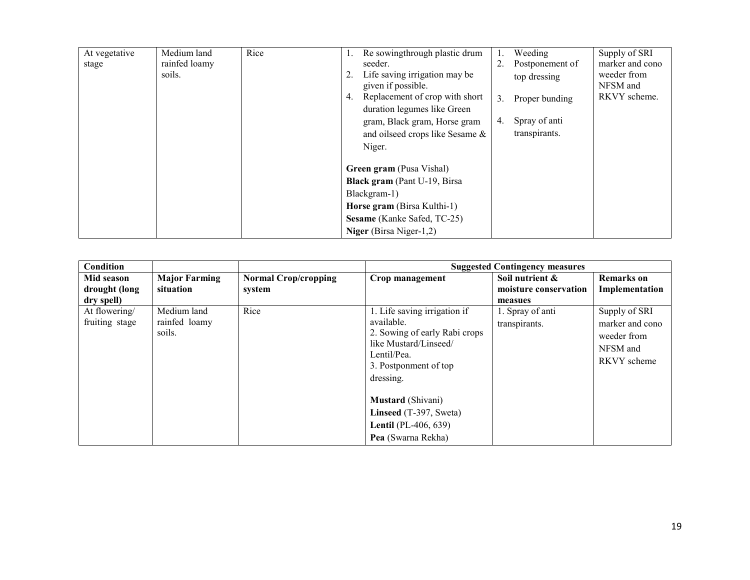| At vegetative | Medium land   | Rice | Re sowingthrough plastic drum        |    | Weeding         | Supply of SRI   |
|---------------|---------------|------|--------------------------------------|----|-----------------|-----------------|
| stage         | rainfed loamy |      | seeder.                              |    | Postponement of | marker and cono |
|               | soils.        |      | Life saving irrigation may be        |    | top dressing    | weeder from     |
|               |               |      | given if possible.                   |    |                 | NFSM and        |
|               |               |      | Replacement of crop with short<br>4. | 3. | Proper bunding  | RKVY scheme.    |
|               |               |      | duration legumes like Green          |    |                 |                 |
|               |               |      | gram, Black gram, Horse gram         | 4. | Spray of anti   |                 |
|               |               |      | and oilseed crops like Sesame &      |    | transpirants.   |                 |
|               |               |      | Niger.                               |    |                 |                 |
|               |               |      |                                      |    |                 |                 |
|               |               |      | <b>Green gram</b> (Pusa Vishal)      |    |                 |                 |
|               |               |      | <b>Black gram</b> (Pant U-19, Birsa  |    |                 |                 |
|               |               |      | Blackgram-1)                         |    |                 |                 |
|               |               |      | Horse gram (Birsa Kulthi-1)          |    |                 |                 |
|               |               |      | Sesame (Kanke Safed, TC-25)          |    |                 |                 |
|               |               |      | Niger (Birsa Niger-1,2)              |    |                 |                 |

| Condition                       |                                        |                                       |                                                                                                                                                           | <b>Suggested Contingency measures</b>    |                                                                            |
|---------------------------------|----------------------------------------|---------------------------------------|-----------------------------------------------------------------------------------------------------------------------------------------------------------|------------------------------------------|----------------------------------------------------------------------------|
| Mid season<br>drought (long     | <b>Major Farming</b><br>situation      | <b>Normal Crop/cropping</b><br>system | Crop management                                                                                                                                           | Soil nutrient &<br>moisture conservation | <b>Remarks</b> on<br>Implementation                                        |
| dry spell)                      |                                        |                                       |                                                                                                                                                           | measues                                  |                                                                            |
| At flowering/<br>fruiting stage | Medium land<br>rainfed loamy<br>soils. | Rice                                  | 1. Life saving irrigation if<br>available.<br>2. Sowing of early Rabi crops<br>like Mustard/Linseed/<br>Lentil/Pea.<br>3. Postponment of top<br>dressing. | 1. Spray of anti<br>transpirants.        | Supply of SRI<br>marker and cono<br>weeder from<br>NFSM and<br>RKVY scheme |
|                                 |                                        |                                       | Mustard (Shivani)<br>Linseed (T-397, Sweta)<br><b>Lentil</b> (PL-406, 639)<br>Pea (Swarna Rekha)                                                          |                                          |                                                                            |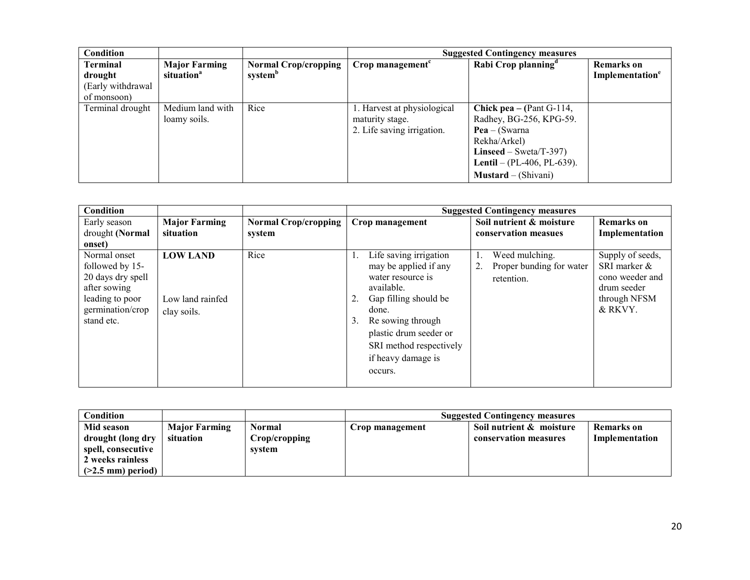| Condition         |                        |                             | <b>Suggested Contingency measures</b> |                                   |                             |  |
|-------------------|------------------------|-----------------------------|---------------------------------------|-----------------------------------|-----------------------------|--|
| <b>Terminal</b>   | <b>Major Farming</b>   | <b>Normal Crop/cropping</b> | Crop management <sup>c</sup>          | Rabi Crop planning <sup>a</sup>   | <b>Remarks</b> on           |  |
| drought           | situation <sup>a</sup> | system <sup>b</sup>         |                                       |                                   | Implementation <sup>e</sup> |  |
| (Early withdrawal |                        |                             |                                       |                                   |                             |  |
| of monsoon)       |                        |                             |                                       |                                   |                             |  |
| Terminal drought  | Medium land with       | Rice                        | 1. Harvest at physiological           | <b>Chick pea</b> – (Pant G-114,   |                             |  |
|                   | loamy soils.           |                             | maturity stage.                       | Radhey, BG-256, KPG-59.           |                             |  |
|                   |                        |                             | 2. Life saving irrigation.            | $Pea - (Swarna)$                  |                             |  |
|                   |                        |                             |                                       | Rekha/Arkel)                      |                             |  |
|                   |                        |                             |                                       | Linseed – Sweta/T-397)            |                             |  |
|                   |                        |                             |                                       | <b>Lentil</b> – (PL-406, PL-639). |                             |  |
|                   |                        |                             |                                       | $M$ ustard – (Shivani)            |                             |  |

| Condition         |                      |                             |    | <b>Suggested Contingency measures</b> |    |                          |                  |  |
|-------------------|----------------------|-----------------------------|----|---------------------------------------|----|--------------------------|------------------|--|
| Early season      | <b>Major Farming</b> | <b>Normal Crop/cropping</b> |    | Crop management                       |    | Soil nutrient & moisture | Remarks on       |  |
| drought (Normal   | situation            | system                      |    |                                       |    | conservation measues     | Implementation   |  |
| onset)            |                      |                             |    |                                       |    |                          |                  |  |
| Normal onset      | <b>LOW LAND</b>      | Rice                        |    | Life saving irrigation                |    | Weed mulching.           | Supply of seeds, |  |
| followed by 15-   |                      |                             |    | may be applied if any                 | 2. | Proper bunding for water | SRI marker &     |  |
| 20 days dry spell |                      |                             |    | water resource is                     |    | retention.               | cono weeder and  |  |
| after sowing      |                      |                             |    | available.                            |    |                          | drum seeder      |  |
| leading to poor   | Low land rainfed     |                             |    | Gap filling should be                 |    |                          | through NFSM     |  |
| germination/crop  | clay soils.          |                             |    | done.                                 |    |                          | & RKVY.          |  |
| stand etc.        |                      |                             | 3. | Re sowing through                     |    |                          |                  |  |
|                   |                      |                             |    | plastic drum seeder or                |    |                          |                  |  |
|                   |                      |                             |    | SRI method respectively               |    |                          |                  |  |
|                   |                      |                             |    | if heavy damage is                    |    |                          |                  |  |
|                   |                      |                             |    | occurs.                               |    |                          |                  |  |
|                   |                      |                             |    |                                       |    |                          |                  |  |

| Condition           |                      |               |                 | <b>Suggested Contingency measures</b> |                |
|---------------------|----------------------|---------------|-----------------|---------------------------------------|----------------|
| Mid season          | <b>Major Farming</b> | <b>Normal</b> | Crop management | Soil nutrient & moisture              | Remarks on     |
| drought (long dry   | situation            | Crop/cropping |                 | conservation measures                 | Implementation |
| spell, consecutive  |                      | svstem        |                 |                                       |                |
| 2 weeks rainless    |                      |               |                 |                                       |                |
| $(>2.5$ mm) period) |                      |               |                 |                                       |                |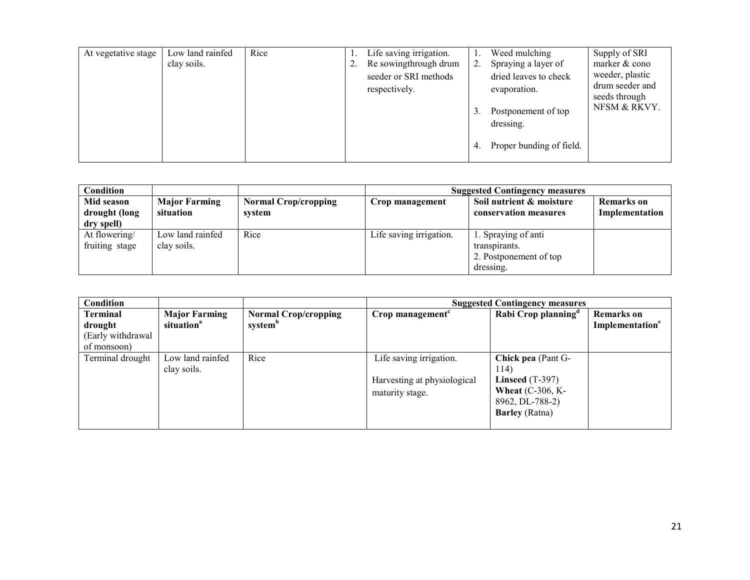| At vegetative stage | Low land rainfed<br>clay soils. | Rice | Z. | Life saving irrigation.<br>Re sowingthrough drum<br>seeder or SRI methods<br>respectively. | 2.<br>3. | Weed mulching<br>Spraying a layer of<br>dried leaves to check<br>evaporation.<br>Postponement of top<br>dressing. | Supply of SRI<br>marker & cono<br>weeder, plastic<br>drum seeder and<br>seeds through<br>NFSM & RKVY. |
|---------------------|---------------------------------|------|----|--------------------------------------------------------------------------------------------|----------|-------------------------------------------------------------------------------------------------------------------|-------------------------------------------------------------------------------------------------------|
|                     |                                 |      |    |                                                                                            | 4.       | Proper bunding of field.                                                                                          |                                                                                                       |

| Condition                                 |                                   |                                       | <b>Suggested Contingency measures</b> |                                                                             |                              |
|-------------------------------------------|-----------------------------------|---------------------------------------|---------------------------------------|-----------------------------------------------------------------------------|------------------------------|
| Mid season<br>drought (long<br>dry spell) | <b>Major Farming</b><br>situation | <b>Normal Crop/cropping</b><br>system | Crop management                       | Soil nutrient & moisture<br>conservation measures                           | Remarks on<br>Implementation |
| At flowering/<br>fruiting stage           | Low land rainfed<br>clay soils.   | Rice                                  | Life saving irrigation.               | 1. Spraying of anti<br>transpirants.<br>2. Postponement of top<br>dressing. |                              |

| Condition                                               |                                                |                                                    | <b>Suggested Contingency measures</b>                                     |                                                                                                                          |                                                  |
|---------------------------------------------------------|------------------------------------------------|----------------------------------------------------|---------------------------------------------------------------------------|--------------------------------------------------------------------------------------------------------------------------|--------------------------------------------------|
| Terminal<br>drought<br>(Early withdrawal<br>of monsoon) | <b>Major Farming</b><br>situation <sup>a</sup> | <b>Normal Crop/cropping</b><br>system <sup>b</sup> | Crop management <sup>c</sup>                                              | Rabi Crop planning <sup>a</sup>                                                                                          | <b>Remarks</b> on<br>Implementation <sup>e</sup> |
| Terminal drought                                        | Low land rainfed<br>clay soils.                | Rice                                               | Life saving irrigation.<br>Harvesting at physiological<br>maturity stage. | <b>Chick pea</b> (Pant G-<br>114)<br>Linseed $(T-397)$<br>Wheat $(C-306, K-$<br>8962, DL-788-2)<br><b>Barley</b> (Ratna) |                                                  |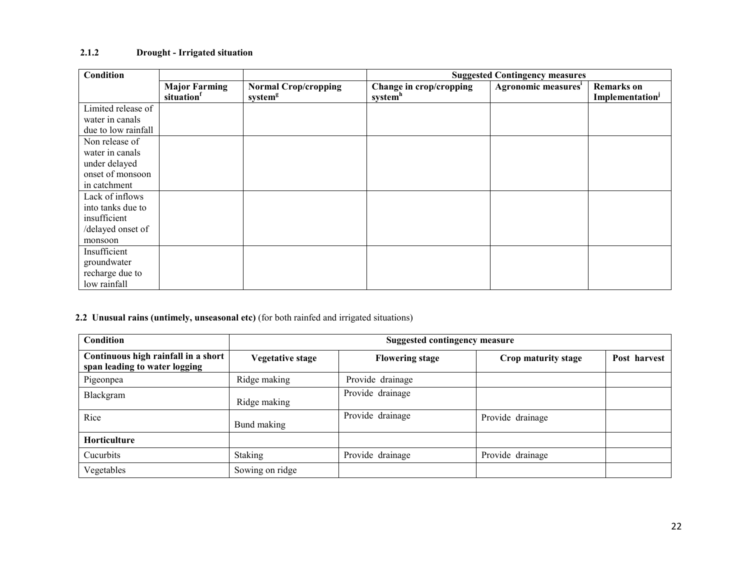# 2.1.2 Drought - Irrigated situation

| <b>Condition</b>    |                                   |                                                    | <b>Suggested Contingency measures</b>          |                                 |                                     |
|---------------------|-----------------------------------|----------------------------------------------------|------------------------------------------------|---------------------------------|-------------------------------------|
|                     | <b>Major Farming</b><br>situation | <b>Normal Crop/cropping</b><br>system <sup>g</sup> | Change in crop/cropping<br>system <sup>h</sup> | Agronomic measures <sup>i</sup> | <b>Remarks</b> on<br>Implementation |
| Limited release of  |                                   |                                                    |                                                |                                 |                                     |
| water in canals     |                                   |                                                    |                                                |                                 |                                     |
| due to low rainfall |                                   |                                                    |                                                |                                 |                                     |
| Non release of      |                                   |                                                    |                                                |                                 |                                     |
| water in canals     |                                   |                                                    |                                                |                                 |                                     |
| under delayed       |                                   |                                                    |                                                |                                 |                                     |
| onset of monsoon    |                                   |                                                    |                                                |                                 |                                     |
| in catchment        |                                   |                                                    |                                                |                                 |                                     |
| Lack of inflows     |                                   |                                                    |                                                |                                 |                                     |
| into tanks due to   |                                   |                                                    |                                                |                                 |                                     |
| insufficient        |                                   |                                                    |                                                |                                 |                                     |
| /delayed onset of   |                                   |                                                    |                                                |                                 |                                     |
| monsoon             |                                   |                                                    |                                                |                                 |                                     |
| Insufficient        |                                   |                                                    |                                                |                                 |                                     |
| groundwater         |                                   |                                                    |                                                |                                 |                                     |
| recharge due to     |                                   |                                                    |                                                |                                 |                                     |
| low rainfall        |                                   |                                                    |                                                |                                 |                                     |

#### 2.2 Unusual rains (untimely, unseasonal etc) (for both rainfed and irrigated situations)

| <b>Condition</b>                                                     | <b>Suggested contingency measure</b> |                        |                     |              |
|----------------------------------------------------------------------|--------------------------------------|------------------------|---------------------|--------------|
| Continuous high rainfall in a short<br>span leading to water logging | <b>Vegetative stage</b>              | <b>Flowering stage</b> | Crop maturity stage | Post harvest |
| Pigeonpea                                                            | Ridge making                         | Provide drainage       |                     |              |
| Blackgram                                                            | Ridge making                         | Provide drainage       |                     |              |
| Rice                                                                 | Bund making                          | Provide drainage       | Provide drainage    |              |
| Horticulture                                                         |                                      |                        |                     |              |
| Cucurbits                                                            | <b>Staking</b>                       | Provide drainage       | Provide drainage    |              |
| Vegetables                                                           | Sowing on ridge                      |                        |                     |              |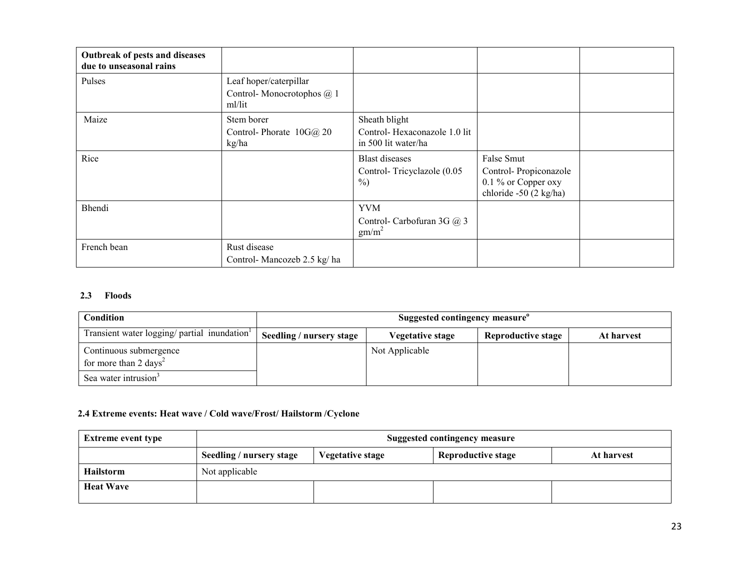| Outbreak of pests and diseases<br>due to unseasonal rains |                                                               |                                                     |                                                                        |  |
|-----------------------------------------------------------|---------------------------------------------------------------|-----------------------------------------------------|------------------------------------------------------------------------|--|
| Pulses                                                    | Leaf hoper/caterpillar<br>Control-Monocrotophos @ 1<br>ml/lit |                                                     |                                                                        |  |
| Maize                                                     | Stem borer                                                    | Sheath blight                                       |                                                                        |  |
|                                                           | Control-Phorate 10G@ 20<br>kg/ha                              | Control-Hexaconazole 1.0 lit<br>in 500 lit water/ha |                                                                        |  |
| Rice                                                      |                                                               | <b>Blast</b> diseases                               | False Smut                                                             |  |
|                                                           |                                                               | Control-Tricyclazole (0.05<br>$\%$ )                | Control-Propiconazole<br>0.1 % or Copper oxy<br>chloride -50 (2 kg/ha) |  |
| Bhendi                                                    |                                                               | <b>YVM</b>                                          |                                                                        |  |
|                                                           |                                                               | Control- Carbofuran 3G @ 3<br>gm/m <sup>2</sup>     |                                                                        |  |
| French bean                                               | Rust disease                                                  |                                                     |                                                                        |  |
|                                                           | Control-Mancozeb 2.5 kg/ha                                    |                                                     |                                                                        |  |

#### 2.3 Floods

| Condition                                                   |                          | Suggested contingency measure <sup>o</sup> |                           |            |
|-------------------------------------------------------------|--------------------------|--------------------------------------------|---------------------------|------------|
| Transient water logging/ partial inundation <sup>1</sup>    | Seedling / nursery stage | Vegetative stage                           | <b>Reproductive stage</b> | At harvest |
| Continuous submergence<br>for more than 2 days <sup>2</sup> |                          | Not Applicable                             |                           |            |
| Sea water intrusion <sup>3</sup>                            |                          |                                            |                           |            |

## 2.4 Extreme events: Heat wave / Cold wave/Frost/ Hailstorm /Cyclone

| <b>Extreme event type</b> | <b>Suggested contingency measure</b> |                  |                           |            |  |
|---------------------------|--------------------------------------|------------------|---------------------------|------------|--|
|                           | Seedling / nursery stage             | Vegetative stage | <b>Reproductive stage</b> | At harvest |  |
| <b>Hailstorm</b>          | Not applicable                       |                  |                           |            |  |
| <b>Heat Wave</b>          |                                      |                  |                           |            |  |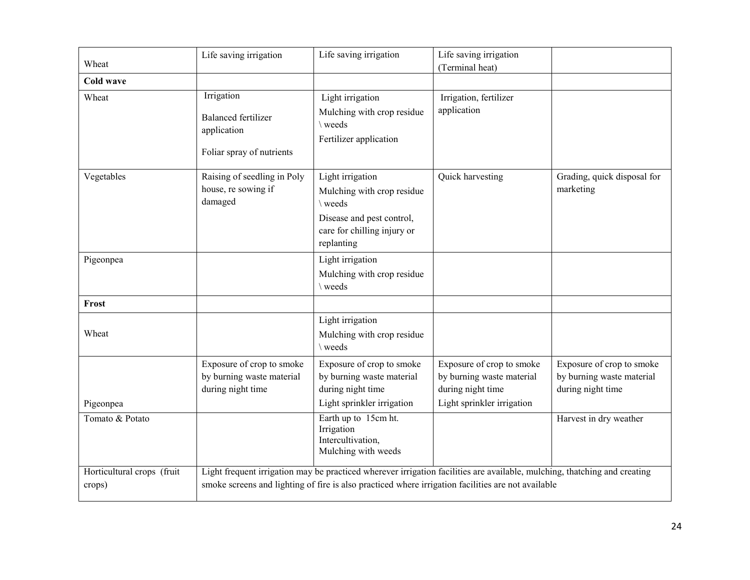| Wheat                                | Life saving irrigation                                                               | Life saving irrigation                                                                                                                                                                                                          | Life saving irrigation<br>(Terminal heat)                                                                 |                                                                             |
|--------------------------------------|--------------------------------------------------------------------------------------|---------------------------------------------------------------------------------------------------------------------------------------------------------------------------------------------------------------------------------|-----------------------------------------------------------------------------------------------------------|-----------------------------------------------------------------------------|
| Cold wave                            |                                                                                      |                                                                                                                                                                                                                                 |                                                                                                           |                                                                             |
| Wheat                                | Irrigation<br><b>Balanced fertilizer</b><br>application<br>Foliar spray of nutrients | Light irrigation<br>Mulching with crop residue<br>weeds<br>Fertilizer application                                                                                                                                               | Irrigation, fertilizer<br>application                                                                     |                                                                             |
| Vegetables                           | Raising of seedling in Poly<br>house, re sowing if<br>damaged                        | Light irrigation<br>Mulching with crop residue<br>\ weeds<br>Disease and pest control,<br>care for chilling injury or<br>replanting                                                                                             | Quick harvesting                                                                                          | Grading, quick disposal for<br>marketing                                    |
| Pigeonpea                            |                                                                                      | Light irrigation<br>Mulching with crop residue<br>\ weeds                                                                                                                                                                       |                                                                                                           |                                                                             |
| Frost                                |                                                                                      |                                                                                                                                                                                                                                 |                                                                                                           |                                                                             |
| Wheat                                |                                                                                      | Light irrigation<br>Mulching with crop residue<br>\weeds                                                                                                                                                                        |                                                                                                           |                                                                             |
| Pigeonpea                            | Exposure of crop to smoke<br>by burning waste material<br>during night time          | Exposure of crop to smoke<br>by burning waste material<br>during night time<br>Light sprinkler irrigation                                                                                                                       | Exposure of crop to smoke<br>by burning waste material<br>during night time<br>Light sprinkler irrigation | Exposure of crop to smoke<br>by burning waste material<br>during night time |
| Tomato & Potato                      |                                                                                      | Earth up to 15cm ht.<br>Irrigation<br>Intercultivation,<br>Mulching with weeds                                                                                                                                                  |                                                                                                           | Harvest in dry weather                                                      |
| Horticultural crops (fruit<br>crops) |                                                                                      | Light frequent irrigation may be practiced wherever irrigation facilities are available, mulching, thatching and creating<br>smoke screens and lighting of fire is also practiced where irrigation facilities are not available |                                                                                                           |                                                                             |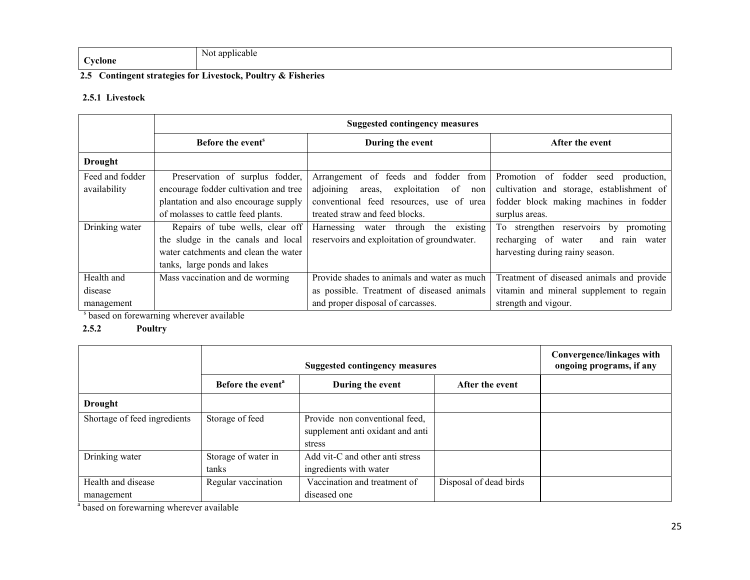|                          | Not applicable |
|--------------------------|----------------|
| $\sim$<br><b>byclone</b> |                |

# 2.5 Contingent strategies for Livestock, Poultry & Fisheries

# 2.5.1 Livestock

|                 | <b>Suggested contingency measures</b> |                                                  |                                               |  |  |
|-----------------|---------------------------------------|--------------------------------------------------|-----------------------------------------------|--|--|
|                 | Before the event <sup>s</sup>         | During the event                                 | After the event                               |  |  |
| <b>Drought</b>  |                                       |                                                  |                                               |  |  |
| Feed and fodder | Preservation of surplus fodder,       | Arrangement of feeds and fodder from             | of fodder<br>Promotion<br>production.<br>seed |  |  |
| availability    | encourage fodder cultivation and tree | adjoining<br>exploitation<br>of<br>areas,<br>non | cultivation and storage, establishment of     |  |  |
|                 | plantation and also encourage supply  | conventional feed resources, use of urea         | fodder block making machines in fodder        |  |  |
|                 | of molasses to cattle feed plants.    | treated straw and feed blocks.                   | surplus areas.                                |  |  |
| Drinking water  | Repairs of tube wells, clear off      | existing<br>Harnessing water through the         | To strengthen reservoirs<br>by<br>promoting   |  |  |
|                 | the sludge in the canals and local    | reservoirs and exploitation of groundwater.      | recharging of<br>water<br>and<br>rain water   |  |  |
|                 | water catchments and clean the water  |                                                  | harvesting during rainy season.               |  |  |
|                 | tanks, large ponds and lakes          |                                                  |                                               |  |  |
| Health and      | Mass vaccination and de worming       | Provide shades to animals and water as much      | Treatment of diseased animals and provide     |  |  |
| disease         |                                       | as possible. Treatment of diseased animals       | vitamin and mineral supplement to regain      |  |  |
| management      |                                       | and proper disposal of carcasses.                | strength and vigour.                          |  |  |

<sup>s</sup> based on forewarning wherever available

# 2.5.2 Poultry

|                              | <b>Suggested contingency measures</b> |                                  |                        | Convergence/linkages with<br>ongoing programs, if any |
|------------------------------|---------------------------------------|----------------------------------|------------------------|-------------------------------------------------------|
|                              | Before the event <sup>a</sup>         | During the event                 | After the event        |                                                       |
| <b>Drought</b>               |                                       |                                  |                        |                                                       |
| Shortage of feed ingredients | Storage of feed                       | Provide non conventional feed,   |                        |                                                       |
|                              |                                       | supplement anti oxidant and anti |                        |                                                       |
|                              |                                       | stress                           |                        |                                                       |
| Drinking water               | Storage of water in                   | Add vit-C and other anti stress  |                        |                                                       |
|                              | tanks                                 | ingredients with water           |                        |                                                       |
| Health and disease           | Regular vaccination                   | Vaccination and treatment of     | Disposal of dead birds |                                                       |
| management                   |                                       | diseased one                     |                        |                                                       |

<sup>a</sup> based on forewarning wherever available